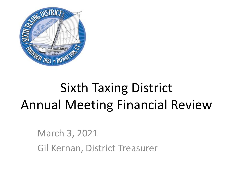

# Sixth Taxing District Annual Meeting Financial Review

March 3, 2021 Gil Kernan, District Treasurer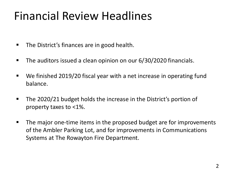## Financial Review Headlines

- The District's finances are in good health.
- **The auditors issued a clean opinion on our 6/30/2020 financials.**
- We finished 2019/20 fiscal year with a net increase in operating fund balance.
- The 2020/21 budget holds the increase in the District's portion of property taxes to <1%.
- The major one-time items in the proposed budget are for improvements of the Ambler Parking Lot, and for improvements in Communications Systems at The Rowayton Fire Department.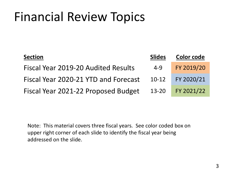| <b>Section</b>                       | <b>Slides</b> | <b>Color code</b> |
|--------------------------------------|---------------|-------------------|
| Fiscal Year 2019-20 Audited Results  | 4-9           | FY 2019/20        |
| Fiscal Year 2020-21 YTD and Forecast | $10-12$       | FY 2020/21        |
| Fiscal Year 2021-22 Proposed Budget  | 13-20         | FY 2021/22        |

Note: This material covers three fiscal years. See color coded box on upper right corner of each slide to identify the fiscal year being addressed on the slide.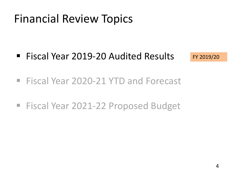■ Fiscal Year 2019-20 Audited Results

FY 2019/20

- Fiscal Year 2020-21 YTD and Forecast
- Fiscal Year 2021-22 Proposed Budget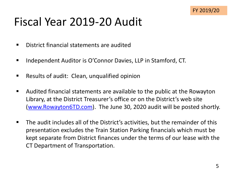## Fiscal Year 2019-20 Audit

- District financial statements are audited
- Independent Auditor is O'Connor Davies, LLP in Stamford, CT.
- Results of audit: Clean, unqualified opinion
- Audited financial statements are available to the public at the Rowayton Library, at the District Treasurer's office or on the District's web site ([www.Rowayton6TD.com\)](http://www.rowayton6td.com/). The June 30, 2020 audit will be posted shortly.
- The audit includes all of the District's activities, but the remainder of this presentation excludes the Train Station Parking financials which must be kept separate from District finances under the terms of our lease with the CT Department of Transportation.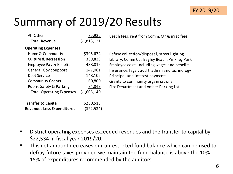

## Summary of 2019/20 Results

| All Other<br><b>Total Revenue</b>                   | 75,925<br>\$1,813,121 | Beach fees, rent from Comm. Ctr & misc fees                                                  |
|-----------------------------------------------------|-----------------------|----------------------------------------------------------------------------------------------|
| <b>Operating Expenses</b>                           |                       |                                                                                              |
| Home & Community<br><b>Culture &amp; Recreation</b> | \$395,674<br>339,839  | Refuse collection/disposal, street lighting<br>Library, Comm Ctr, Bayley Beach, Pinkney Park |
| Employee Pay & Benefits                             | 438,815               | Employee costs including wages and benefits                                                  |
| General Gov't Support                               | 147,061               | Insurance, legal, audit, admin and technology                                                |
| Debt Service                                        | 148,102               | Principal and interest payments                                                              |
| <b>Community Grants</b>                             | 60,800                | Grants to community organizations                                                            |
| Public Safety & Parking                             | 74,849                | Fire Department and Amber Parking Lot                                                        |
| <b>Total Operating Expenses</b>                     | \$1,605,140           |                                                                                              |

| <b>Transfer to Capital</b>        | <u>\$230,515</u> |
|-----------------------------------|------------------|
| <b>Revenues Less Expenditures</b> | (522, 534)       |

- District operating expenses exceeded revenues and the transfer to capital by \$22,534 in fiscal year 2019/20.
- This net amount decreases our unrestricted fund balance which can be used to defray future taxes provided we maintain the fund balance is above the 10% - 15% of expenditures recommended by the auditors.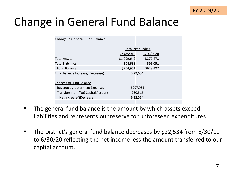

## Change in General Fund Balance

| Change in General Fund Balance      |             |                           |  |
|-------------------------------------|-------------|---------------------------|--|
|                                     |             |                           |  |
|                                     |             | <b>Fiscal Year Ending</b> |  |
|                                     | 6/30/2019   | 6/30/2020                 |  |
| <b>Total Assets</b>                 | \$1,009,649 | 1,277,478                 |  |
| <b>Total Liabilities</b>            | 304,688     | 595,051                   |  |
| <b>Fund Balance</b>                 | \$704,961   | \$628,427                 |  |
| Fund Balance Increase/(Decrease)    | \$(22, 534) |                           |  |
|                                     |             |                           |  |
| <b>Changes to Fund Balance</b>      |             |                           |  |
| Revenues greater than Expenses      |             | \$207,981                 |  |
| Transfers from/(to) Capital Account |             | (230, 515)                |  |
| Net Increase/(Decrease)             |             | \$(22,534)                |  |
|                                     |             |                           |  |

- The general fund balance is the amount by which assets exceed liabilities and represents our reserve for unforeseen expenditures.
- The District's general fund balance decreases by \$22,534 from 6/30/19 to 6/30/20 reflecting the net income less the amount transferred to our capital account.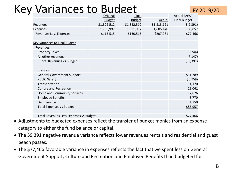### Key Variances to Budget

|                                               | Original      | Final         |             | Actual B/(W)        |
|-----------------------------------------------|---------------|---------------|-------------|---------------------|
|                                               | <b>Budget</b> | <b>Budget</b> | Actual      | <b>Final Budget</b> |
| Revenues                                      | \$1,822,512   | \$1,822,512   | \$1,813,121 | \$(9,391)           |
| <b>Expenses</b>                               | 1,706,997     | 1,691,997     | 1,605,140   | 86,857              |
| <b>Revenues Less Expenses</b>                 | \$115,515     | \$130,515     | \$207,981   | \$77,466            |
|                                               |               |               |             |                     |
| <b>Key Variances to Final Budget</b>          |               |               |             |                     |
| Revenues                                      |               |               |             |                     |
| <b>Property Taxes</b>                         |               |               |             | 2244)               |
| All other revenues                            |               |               |             | (7, 147)            |
| <b>Total Revenues vs Budget</b>               |               |               |             | \$(9,391)           |
|                                               |               |               |             |                     |
| <b>Expenses</b>                               |               |               |             |                     |
| <b>General Government Support</b>             |               |               |             | \$31,789            |
| <b>Public Safety</b>                          |               |               |             | (56, 759)           |
| Transportation                                |               |               |             | 11,170              |
| <b>Culture and Recreation</b>                 |               |               |             | 23,061              |
| Home and Community Services                   |               |               |             | 17,076              |
| <b>Employee Benefits</b>                      |               |               |             | 8,770               |
| Debt Service                                  |               |               |             | 1,750               |
| <b>Total Expenses vs Budget</b>               |               |               |             | \$86,957            |
|                                               |               |               |             |                     |
| <b>Total Revenues Less Expenses vs Budget</b> |               |               |             | \$77,466            |

- Adjustments to budgeted expenses reflect the transfer of budget monies from an expense category to either the fund balance or capital.
- The \$9,391 negative revenue variance reflects lower revenues rentals and residential and guest beach passes.
- The \$77,466 favorable variance in expenses reflects the fact that we spent less on General Government Support, Culture and Recreation and Employee Benefits than budgeted for.

FY 2019/20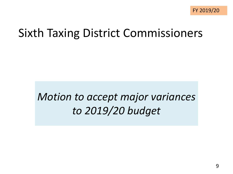## Sixth Taxing District Commissioners

### *Motion to accept major variances to 2019/20 budget*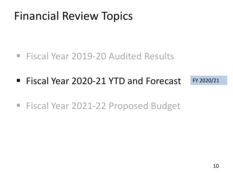- Fiscal Year 2019-20 Audited Results
- Fiscal Year 2020-21 YTD and Forecast FY 2020/21
- Fiscal Year 2021-22 Proposed Budget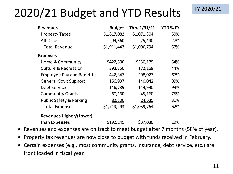## 2020/21 Budget and YTD Results

| <b>Revenues</b>                    | <b>Budget</b> | Thru 1/31/21 | YTD % FY |
|------------------------------------|---------------|--------------|----------|
| <b>Property Taxes</b>              | \$1,817,082   | \$1,071,304  | 59%      |
| All Other                          | 94,360        | 25,490       | 27%      |
| <b>Total Revenue</b>               | \$1,911,442   | \$1,096,794  | 57%      |
| <b>Expenses</b>                    |               |              |          |
| Home & Community                   | \$422,500     | \$230,179    | 54%      |
| <b>Culture &amp; Recreation</b>    | 393,350       | 172,168      | 44%      |
| <b>Employee Pay and Benefits</b>   | 442,347       | 298,027      | 67%      |
| <b>General Gov't Support</b>       | 156,937       | 140,042      | 89%      |
| Debt Service                       | 146,739       | 144,990      | 99%      |
| <b>Community Grants</b>            | 60,160        | 45,160       | 75%      |
| <b>Public Safety &amp; Parking</b> | 82,700        | 24,635       | 30%      |
| <b>Total Expenses</b>              | \$1,719,293   | \$1,059,764  | 62%      |
| <b>Revenues Higher/(Lower)</b>     |               |              |          |
| than Expenses                      | \$192,149     | \$37,030     | 19%      |

- Revenues and expenses are on track to meet budget after 7 months (58% of year).
- Property tax revenues are now close to budget with funds received in February.
- Certain expenses (e.g., most community grants, insurance, debt service, etc.) are front loaded in fiscal year.

FY 2020/21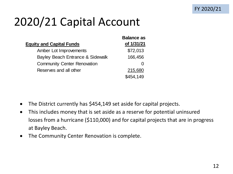## 2020/21 Capital Account

|                                    | <b>Balance as</b> |
|------------------------------------|-------------------|
| <b>Equity and Capital Funds</b>    | of 1/31/21        |
| Amber Lot Improvements             | \$72,013          |
| Bayley Beach Entrance & Sidewalk   | 166,456           |
| <b>Community Center Renovation</b> |                   |
| Reserves and all other             | 215,680           |
|                                    | \$454,149         |

- The District currently has \$454,149 set aside for capital projects.
- This includes money that is set aside as a reserve for potential uninsured losses from a hurricane (\$110,000) and for capital projects that are in progress at Bayley Beach.
- The Community Center Renovation is complete.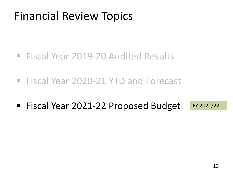- Fiscal Year 2019-20 Audited Results
- Fiscal Year 2020-21 YTD and Forecast
- Fiscal Year 2021-22 Proposed Budget FY 2021/22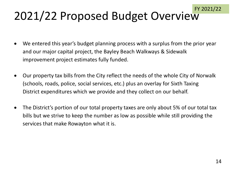## 2021/22 Proposed Budget Overview

- We entered this year's budget planning process with a surplus from the prior year and our major capital project, the Bayley Beach Walkways & Sidewalk improvement project estimates fully funded.
- Our property tax bills from the City reflect the needs of the whole City of Norwalk (schools, roads, police, social services, etc.) plus an overlay for Sixth Taxing District expenditures which we provide and they collect on our behalf.
- The District's portion of our total property taxes are only about 5% of our total tax bills but we strive to keep the number as low as possible while still providing the services that make Rowayton what it is.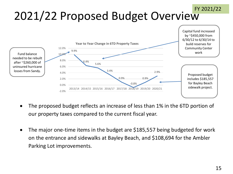#### 2021/22 Proposed Budget Overview FY 2021/22



- The proposed budget reflects an increase of less than 1% in the 6TD portion of our property taxes compared to the current fiscal year.
- The major one-time items in the budget are \$185,557 being budgeted for work on the entrance and sidewalks at Bayley Beach, and \$108,694 for the Ambler Parking Lot improvements.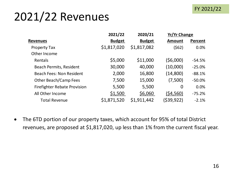#### FY 2021/22

## 2021/22 Revenues

|                                     | 2021/22       | 2020/21       | <b>Yr/Yr Change</b> |          |
|-------------------------------------|---------------|---------------|---------------------|----------|
| <b>Revenues</b>                     | <b>Budget</b> | <b>Budget</b> | <b>Amount</b>       | Percent  |
| <b>Property Tax</b>                 | \$1,817,020   | \$1,817,082   | (562)               | 0.0%     |
| Other Income                        |               |               |                     |          |
| Rentals                             | \$5,000       | \$11,000      | (56,000)            | $-54.5%$ |
| <b>Beach Permits, Resident</b>      | 30,000        | 40,000        | (10,000)            | $-25.0%$ |
| <b>Beach Fees: Non Resident</b>     | 2,000         | 16,800        | (14,800)            | $-88.1%$ |
| <b>Other Beach/Camp Fees</b>        | 7,500         | 15,000        | (7,500)             | $-50.0%$ |
| <b>Firefighter Rebate Provision</b> | 5,500         | 5,500         | $\overline{0}$      | 0.0%     |
| All Other Income                    | \$1,500       | \$6,060       | (54, 560)           | $-75.2%$ |
| <b>Total Revenue</b>                | \$1,871,520   | \$1,911,442   | (\$39,922)          | $-2.1%$  |

• The 6TD portion of our property taxes, which account for 95% of total District revenues, are proposed at \$1,817,020, up less than 1% from the current fiscal year.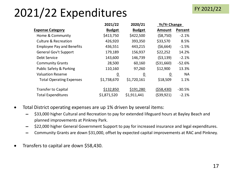## 2021/22 Expenditures

|                                    | 2021/22         | 2020/21         | <b>Yr/Yr Change</b> |                |
|------------------------------------|-----------------|-----------------|---------------------|----------------|
| <b>Expense Category</b>            | <b>Budget</b>   | <b>Budget</b>   | <b>Amount</b>       | <b>Percent</b> |
| Home & Community                   | \$413,750       | \$422,500       | (58,750)            | $-2.1%$        |
| <b>Culture &amp; Recreation</b>    | 426,920         | 393,350         | \$33,570            | 8.5%           |
| <b>Employee Pay and Benefits</b>   | 436,551         | 443,215         | (56,664)            | $-1.5%$        |
| <b>General Gov't Support</b>       | 179,189         | 156,937         | \$22,252            | 14.2%          |
| <b>Debt Service</b>                | 143,600         | 146,739         | (53, 139)           | $-2.1%$        |
| <b>Community Grants</b>            | 28,500          | 60,160          | ( \$31,660)         | $-52.6%$       |
| <b>Public Safety &amp; Parking</b> | 110,160         | 97,260          | \$12,900            | 13.3%          |
| <b>Valuation Reserve</b>           | $\underline{0}$ | $\underline{0}$ | $\underline{0}$     | <b>NA</b>      |
| <b>Total Operating Expenses</b>    | \$1,738,670     | \$1,720,161     | \$18,509            | 1.1%           |
| <b>Transfer to Capital</b>         | \$132,850       | \$191,280       | (558, 430)          | $-30.5%$       |
| <b>Total Expenditures</b>          | \$1,871,520     | \$1,911,441     | ( \$39, 921)        | $-2.1%$        |

- Total District operating expenses are up 1% driven by several items:
	- $−$  \$33,000 higher Cultural and Recreation to pay for extended lifeguard hours at Bayley Beach and planned improvements at Pinkney Park.
	- $-$  \$22,000 higher General Government Support to pay for increased insurance and legal expenditures.
	- $-$  Community Grants are down \$31,000, offset by expected capital improvements at RAC and Pinkney.
- Transfers to capital are down \$58,430.

FY 2021/22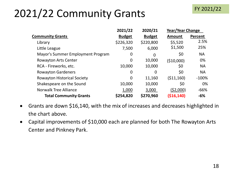#### FY 2021/22

#### 2021/22 Community Grants

|                                    | 2021/22       | 2020/21        | Year/Year Change |                |
|------------------------------------|---------------|----------------|------------------|----------------|
| <b>Community Grants</b>            | <b>Budget</b> | <b>Budget</b>  | <b>Amount</b>    | <b>Percent</b> |
| Library                            | \$226,320     | \$220,800      | \$5,520          | 2.5%           |
| Little League                      | 7,500         | 6,000          | \$1,500          | 25%            |
| Mayor's Summer Employment Program  | 0             | $\overline{0}$ | \$0              | <b>NA</b>      |
| <b>Rowayton Arts Center</b>        | 0             | 10,000         | (\$10,000)       | 0%             |
| RCA - Fireworks, etc.              | 10,000        | 10,000         | \$0              | <b>NA</b>      |
| <b>Rowayton Gardeners</b>          | 0             | 0              | \$0              | <b>NA</b>      |
| <b>Rowayton Historical Society</b> | 0             | 11,160         | ( \$11,160)      | $-100\%$       |
| Shakespeare on the Sound           | 10,000        | 10,000         | \$0              | 0%             |
| <b>Norwalk Tree Alliance</b>       | 1,000         | 3,000          | (52,000)         | $-66%$         |
| <b>Total Community Grants</b>      | \$254,820     | \$270,960      | ( \$16, 140)     | $-6%$          |

- Grants are down \$16,140, with the mix of increases and decreases highlighted in the chart above.
- Capital improvements of \$10,000 each are planned for both The Rowayton Arts Center and Pinkney Park.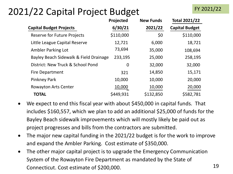#### 2021/22 Capital Project Budget

|                                        | Projected | <b>New Funds</b> | <b>Total 2021/22</b>  |
|----------------------------------------|-----------|------------------|-----------------------|
| <b>Capital Budget Projects</b>         | 6/30/21   | 2021/22          | <b>Capital Budget</b> |
| <b>Reserve for Future Projects</b>     | \$110,000 | \$0              | \$110,000             |
| Little League Capital Reserve          | 12,721    | 6,000            | 18,721                |
| <b>Ambler Parking Lot</b>              | 73,694    | 35,000           | 108,694               |
| Bayley Beach Sidewalk & Field Drainage | 233,195   | 25,000           | 258,195               |
| District: New Truck & School Pond      | 0         | 32,000           | 32,000                |
| <b>Fire Department</b>                 | 321       | 14,850           | 15,171                |
| <b>Pinkney Park</b>                    | 10,000    | 10,000           | 20,000                |
| <b>Rowayton Arts Center</b>            | 10,000    | 10,000           | 20,000                |
| <b>TOTAL</b>                           | \$449,931 | \$132,850        | \$582,781             |

- We expect to end this fiscal year with about \$450,000 in capital funds. That includes \$160,557, which we plan to add an additional \$25,000 of funds for the Bayley Beach sidewalk improvements which will mostly likely be paid out as project progresses and bills from the contractors are submitted.
- The major new capital funding in the 2021/22 budget is for the work to improve and expand the Ambler Parking. Cost estimate of \$350,000.
- The other major capital project is to upgrade the Emergency Communication System of the Rowayton Fire Department as mandated by the State of Connecticut. Cost estimate of \$200,000. 19

FY 2021/22